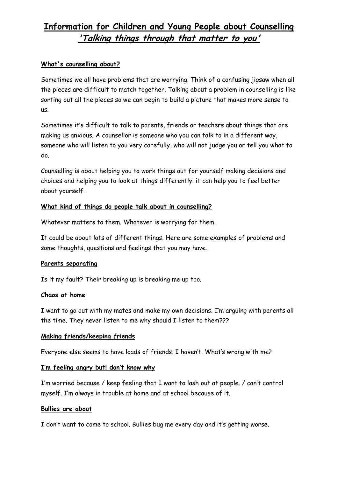# **Information for Children and Young People about Counselling 'Talking things through that matter to you'**

### **What's counselling about?**

Sometimes we all have problems that are worrying. Think of a confusing jigsaw when all the pieces are difficult to match together. Talking about a problem in counselling is like sorting out all the pieces so we can begin to build a picture that makes more sense to us.

Sometimes it's difficult to talk to parents, friends or teachers about things that are making us anxious. A counsellor is someone who you can talk to in a different way, someone who will listen to you very carefully, who will not judge you or tell you what to do.

Counselling is about helping you to work things out for yourself making decisions and choices and helping you to look at things differently. it can help you to feel better about yourself.

### **What kind of things do people talk about in counselling?**

Whatever matters to them. Whatever is worrying for them.

It could be about lots of different things. Here are some examples of problems and some thoughts, questions and feelings that you may have.

### **Parents separating**

Is it my fault? Their breaking up is breaking me up too.

### **Chaos at home**

I want to go out with my mates and make my own decisions. I'm arguing with parents all the time. They never listen to me why should I listen to them???

### **Making friends/keeping friends**

Everyone else seems to have loads of friends. I haven't. What's wrong with me?

### **I'm feeling angry but! don't know why**

I'm worried because / keep feeling that I want to lash out at people. / can't control myself. I'm always in trouble at home and at school because of it.

### **Bullies are about**

I don't want to come to school. Bullies bug me every day and it's getting worse.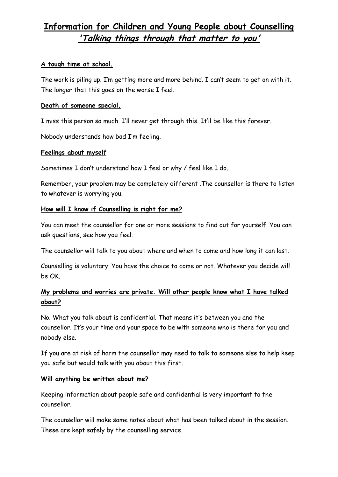# **Information for Children and Young People about Counselling 'Talking things through that matter to you'**

#### **A tough time at school.**

The work is piling up. I'm getting more and more behind. I can't seem to get on with it. The longer that this goes on the worse I feel.

#### **Death of someone special.**

I miss this person so much. I'll never get through this. It'll be like this forever.

Nobody understands how bad I'm feeling.

#### **Feelings about myself**

Sometimes I don't understand how I feel or why / feel like I do.

Remember, your problem may be completely different .The counsellor is there to listen to whatever is worrying you.

#### **How will I know if Counselling is right for me?**

You can meet the counsellor for one or more sessions to find out for yourself. You can ask questions, see how you feel.

The counsellor will talk to you about where and when to come and how long it can last.

Counselling is voluntary. You have the choice to come or not. Whatever you decide will be OK.

# **My problems and worries are private. Will other people know what I have talked about?**

No. What you talk about is confidential. That means it's between you and the counsellor. It's your time and your space to be with someone who is there for you and nobody else.

If you are at risk of harm the counsellor may need to talk to someone else to help keep you safe but would talk with you about this first.

#### **Will anything be written about me?**

Keeping information about people safe and confidential is very important to the counsellor.

The counsellor will make some notes about what has been talked about in the session. These are kept safely by the counselling service.